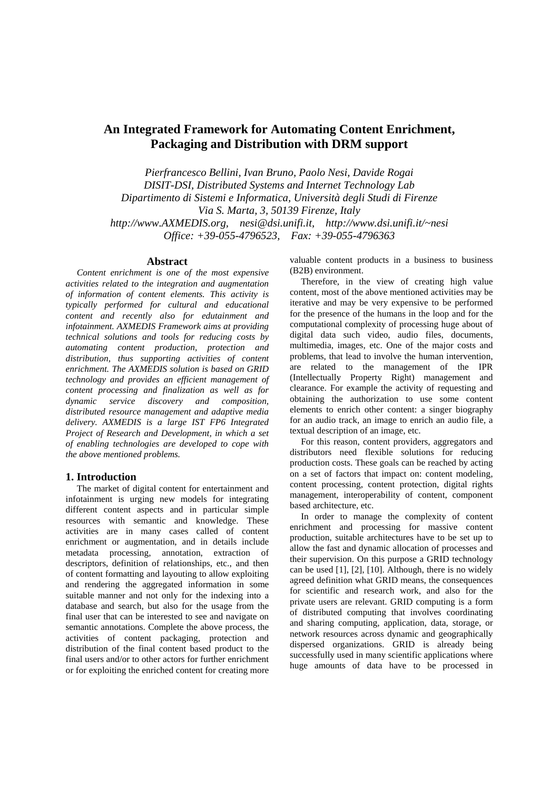# **An Integrated Framework for Automating Content Enrichment, Packaging and Distribution with DRM support**

*Pierfrancesco Bellini, Ivan Bruno, Paolo Nesi, Davide Rogai DISIT-DSI, Distributed Systems and Internet Technology Lab Dipartimento di Sistemi e Informatica, Università degli Studi di Firenze Via S. Marta, 3, 50139 Firenze, Italy http://www.AXMEDIS.org, nesi@dsi.unifi.it, http://www.dsi.unifi.it/~nesi Office: +39-055-4796523, Fax: +39-055-4796363* 

#### **Abstract**

*Content enrichment is one of the most expensive activities related to the integration and augmentation of information of content elements. This activity is typically performed for cultural and educational content and recently also for edutainment and infotainment. AXMEDIS Framework aims at providing technical solutions and tools for reducing costs by automating content production, protection and*  distribution, thus supporting activities of content *enrichment. The AXMEDIS solution is based on GRID technology and provides an efficient management of content processing and finalization as well as for dynamic service discovery and composition, distributed resource management and adaptive media delivery. AXMEDIS is a large IST FP6 Integrated Project of Research and Development, in which a set of enabling technologies are developed to cope with the above mentioned problems.* 

# **1. Introduction**

The market of digital content for entertainment and infotainment is urging new models for integrating different content aspects and in particular simple resources with semantic and knowledge. These activities are in many cases called of content enrichment or augmentation, and in details include metadata processing, annotation, extraction of descriptors, definition of relationships, etc., and then of content formatting and layouting to allow exploiting and rendering the aggregated information in some suitable manner and not only for the indexing into a database and search, but also for the usage from the final user that can be interested to see and navigate on semantic annotations. Complete the above process, the activities of content packaging, protection and distribution of the final content based product to the final users and/or to other actors for further enrichment or for exploiting the enriched content for creating more

valuable content products in a business to business (B2B) environment.

Therefore, in the view of creating high value content, most of the above mentioned activities may be iterative and may be very expensive to be performed for the presence of the humans in the loop and for the computational complexity of processing huge about of digital data such video, audio files, documents, multimedia, images, etc. One of the major costs and problems, that lead to involve the human intervention, are related to the management of the IPR (Intellectually Property Right) management and clearance. For example the activity of requesting and obtaining the authorization to use some content elements to enrich other content: a singer biography for an audio track, an image to enrich an audio file, a textual description of an image, etc.

For this reason, content providers, aggregators and distributors need flexible solutions for reducing production costs. These goals can be reached by acting on a set of factors that impact on: content modeling, content processing, content protection, digital rights management, interoperability of content, component based architecture, etc.

In order to manage the complexity of content enrichment and processing for massive content production, suitable architectures have to be set up to allow the fast and dynamic allocation of processes and their supervision. On this purpose a GRID technology can be used [1], [2], [10]. Although, there is no widely agreed definition what GRID means, the consequences for scientific and research work, and also for the private users are relevant. GRID computing is a form of distributed computing that involves coordinating and sharing computing, application, data, storage, or network resources across dynamic and geographically dispersed organizations. GRID is already being successfully used in many scientific applications where huge amounts of data have to be processed in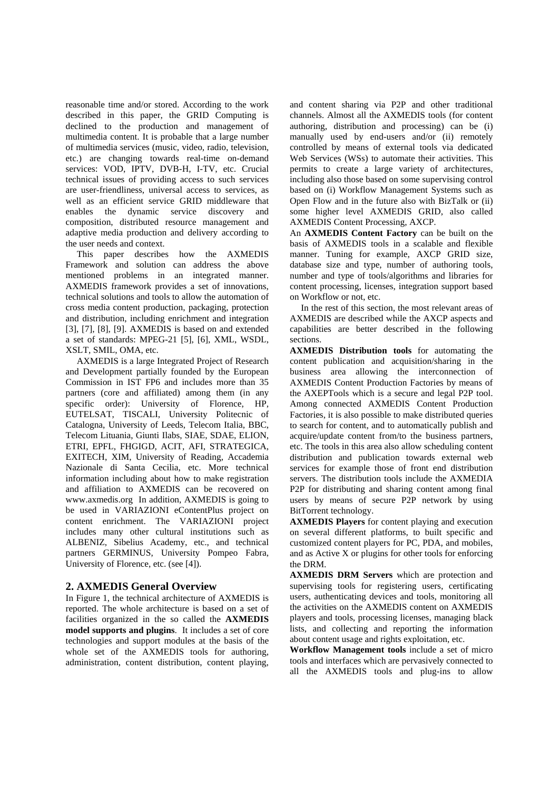reasonable time and/or stored. According to the work described in this paper, the GRID Computing is declined to the production and management of multimedia content. It is probable that a large number of multimedia services (music, video, radio, television, etc.) are changing towards real-time on-demand services: VOD, IPTV, DVB-H, I-TV, etc. Crucial technical issues of providing access to such services are user-friendliness, universal access to services, as well as an efficient service GRID middleware that enables the dynamic service discovery and composition, distributed resource management and adaptive media production and delivery according to the user needs and context.

This paper describes how the AXMEDIS Framework and solution can address the above mentioned problems in an integrated manner. AXMEDIS framework provides a set of innovations, technical solutions and tools to allow the automation of cross media content production, packaging, protection and distribution, including enrichment and integration [3], [7], [8], [9]. AXMEDIS is based on and extended a set of standards: MPEG-21 [5], [6], XML, WSDL, XSLT, SMIL, OMA, etc.

AXMEDIS is a large Integrated Project of Research and Development partially founded by the European Commission in IST FP6 and includes more than 35 partners (core and affiliated) among them (in any specific order): University of Florence, HP, EUTELSAT, TISCALI, University Politecnic of Catalogna, University of Leeds, Telecom Italia, BBC, Telecom Lituania, Giunti Ilabs, SIAE, SDAE, ELION, ETRI, EPFL, FHGIGD, ACIT, AFI, STRATEGICA, EXITECH, XIM, University of Reading, Accademia Nazionale di Santa Cecilia, etc. More technical information including about how to make registration and affiliation to AXMEDIS can be recovered on www.axmedis.org In addition, AXMEDIS is going to be used in VARIAZIONI eContentPlus project on content enrichment. The VARIAZIONI project includes many other cultural institutions such as ALBENIZ, Sibelius Academy, etc., and technical partners GERMINUS, University Pompeo Fabra, University of Florence, etc. (see [4]).

# **2. AXMEDIS General Overview**

In Figure 1, the technical architecture of AXMEDIS is reported. The whole architecture is based on a set of facilities organized in the so called the **AXMEDIS model supports and plugins**. It includes a set of core technologies and support modules at the basis of the whole set of the AXMEDIS tools for authoring, administration, content distribution, content playing, and content sharing via P2P and other traditional channels. Almost all the AXMEDIS tools (for content authoring, distribution and processing) can be (i) manually used by end-users and/or (ii) remotely controlled by means of external tools via dedicated Web Services (WSs) to automate their activities. This permits to create a large variety of architectures, including also those based on some supervising control based on (i) Workflow Management Systems such as Open Flow and in the future also with BizTalk or (ii) some higher level AXMEDIS GRID, also called AXMEDIS Content Processing, AXCP.

An **AXMEDIS Content Factory** can be built on the basis of AXMEDIS tools in a scalable and flexible manner. Tuning for example, AXCP GRID size, database size and type, number of authoring tools, number and type of tools/algorithms and libraries for content processing, licenses, integration support based on Workflow or not, etc.

In the rest of this section, the most relevant areas of AXMEDIS are described while the AXCP aspects and capabilities are better described in the following sections.

**AXMEDIS Distribution tools** for automating the content publication and acquisition/sharing in the business area allowing the interconnection of AXMEDIS Content Production Factories by means of the AXEPTools which is a secure and legal P2P tool. Among connected AXMEDIS Content Production Factories, it is also possible to make distributed queries to search for content, and to automatically publish and acquire/update content from/to the business partners, etc. The tools in this area also allow scheduling content distribution and publication towards external web services for example those of front end distribution servers. The distribution tools include the AXMEDIA P2P for distributing and sharing content among final users by means of secure P2P network by using BitTorrent technology.

**AXMEDIS Players** for content playing and execution on several different platforms, to built specific and customized content players for PC, PDA, and mobiles, and as Active X or plugins for other tools for enforcing the DRM.

**AXMEDIS DRM Servers** which are protection and supervising tools for registering users, certificating users, authenticating devices and tools, monitoring all the activities on the AXMEDIS content on AXMEDIS players and tools, processing licenses, managing black lists, and collecting and reporting the information about content usage and rights exploitation, etc.

**Workflow Management tools** include a set of micro tools and interfaces which are pervasively connected to all the AXMEDIS tools and plug-ins to allow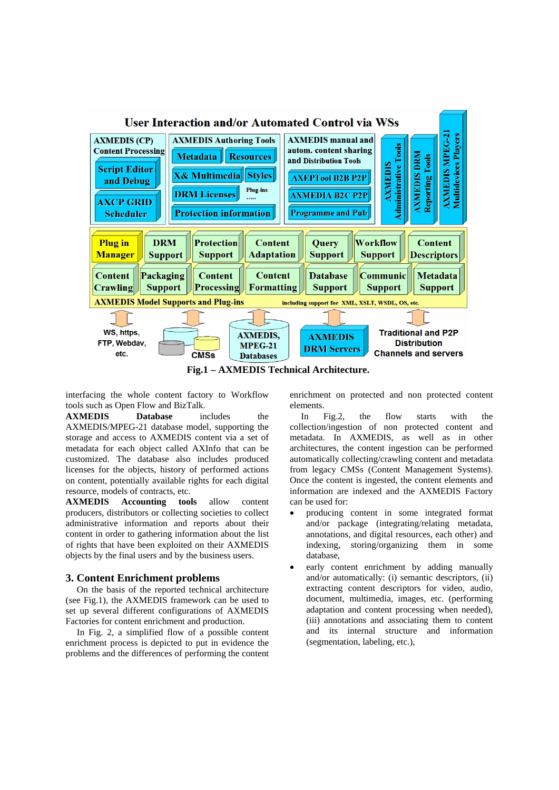

**Fig.1 – AXMEDIS Technical Architecture.** 

interfacing the whole content factory to Workflow tools such as Open Flow and BizTalk.

**AXMEDIS Database** includes the AXMEDIS/MPEG-21 database model, supporting the storage and access to AXMEDIS content via a set of metadata for each object called AXInfo that can be customized. The database also includes produced licenses for the objects, history of performed actions on content, potentially available rights for each digital resource, models of contracts, etc.

**AXMEDIS Accounting tools** allow content producers, distributors or collecting societies to collect administrative information and reports about their content in order to gathering information about the list of rights that have been exploited on their AXMEDIS objects by the final users and by the business users.

#### **3. Content Enrichment problems**

On the basis of the reported technical architecture (see Fig.1), the AXMEDIS framework can be used to set up several different configurations of AXMEDIS Factories for content enrichment and production.

In Fig. 2, a simplified flow of a possible content enrichment process is depicted to put in evidence the problems and the differences of performing the content enrichment on protected and non protected content elements.

In Fig.2, the flow starts with the collection/ingestion of non protected content and metadata. In AXMEDIS, as well as in other architectures, the content ingestion can be performed automatically collecting/crawling content and metadata from legacy CMSs (Content Management Systems). Once the content is ingested, the content elements and information are indexed and the AXMEDIS Factory can be used for:

- producing content in some integrated format and/or package (integrating/relating metadata, annotations, and digital resources, each other) and indexing, storing/organizing them in some database,
- early content enrichment by adding manually and/or automatically: (i) semantic descriptors, (ii) extracting content descriptors for video, audio, document, multimedia, images, etc. (performing adaptation and content processing when needed), (iii) annotations and associating them to content and its internal structure and information (segmentation, labeling, etc.),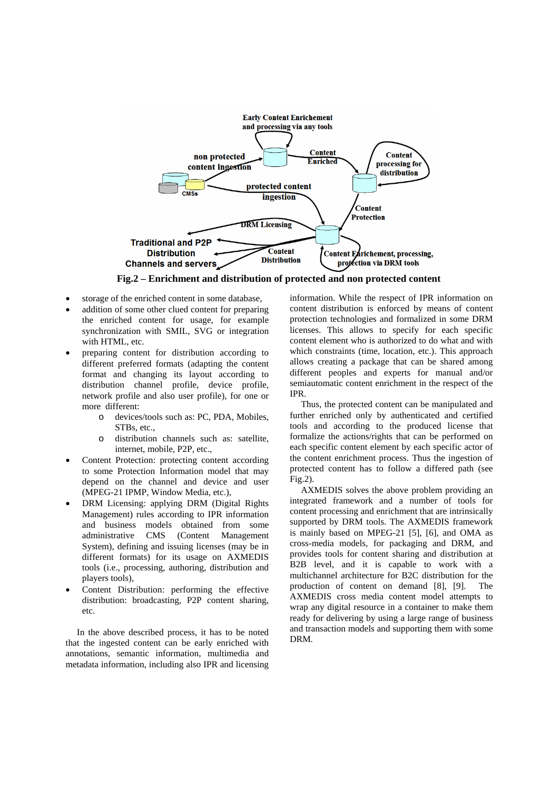

**Fig.2 – Enrichment and distribution of protected and non protected content** 

- storage of the enriched content in some database,
- addition of some other clued content for preparing the enriched content for usage, for example synchronization with SMIL, SVG or integration with HTML, etc.
- preparing content for distribution according to different preferred formats (adapting the content format and changing its layout according to distribution channel profile, device profile, network profile and also user profile), for one or more different:
	- o devices/tools such as: PC, PDA, Mobiles, STBs, etc.,
	- o distribution channels such as: satellite, internet, mobile, P2P, etc.,
- Content Protection: protecting content according to some Protection Information model that may depend on the channel and device and user (MPEG-21 IPMP, Window Media, etc.),
- DRM Licensing: applying DRM (Digital Rights Management) rules according to IPR information and business models obtained from some administrative CMS (Content Management System), defining and issuing licenses (may be in different formats) for its usage on AXMEDIS tools (i.e., processing, authoring, distribution and players tools),
- Content Distribution: performing the effective distribution: broadcasting, P2P content sharing, etc.

In the above described process, it has to be noted that the ingested content can be early enriched with annotations, semantic information, multimedia and metadata information, including also IPR and licensing

information. While the respect of IPR information on content distribution is enforced by means of content protection technologies and formalized in some DRM licenses. This allows to specify for each specific content element who is authorized to do what and with which constraints (time, location, etc.). This approach allows creating a package that can be shared among different peoples and experts for manual and/or semiautomatic content enrichment in the respect of the IPR.

Thus, the protected content can be manipulated and further enriched only by authenticated and certified tools and according to the produced license that formalize the actions/rights that can be performed on each specific content element by each specific actor of the content enrichment process. Thus the ingestion of protected content has to follow a differed path (see Fig.2).

AXMEDIS solves the above problem providing an integrated framework and a number of tools for content processing and enrichment that are intrinsically supported by DRM tools. The AXMEDIS framework is mainly based on MPEG-21 [5], [6], and OMA as cross-media models, for packaging and DRM, and provides tools for content sharing and distribution at B2B level, and it is capable to work with a multichannel architecture for B2C distribution for the production of content on demand [8], [9]. The AXMEDIS cross media content model attempts to wrap any digital resource in a container to make them ready for delivering by using a large range of business and transaction models and supporting them with some DRM.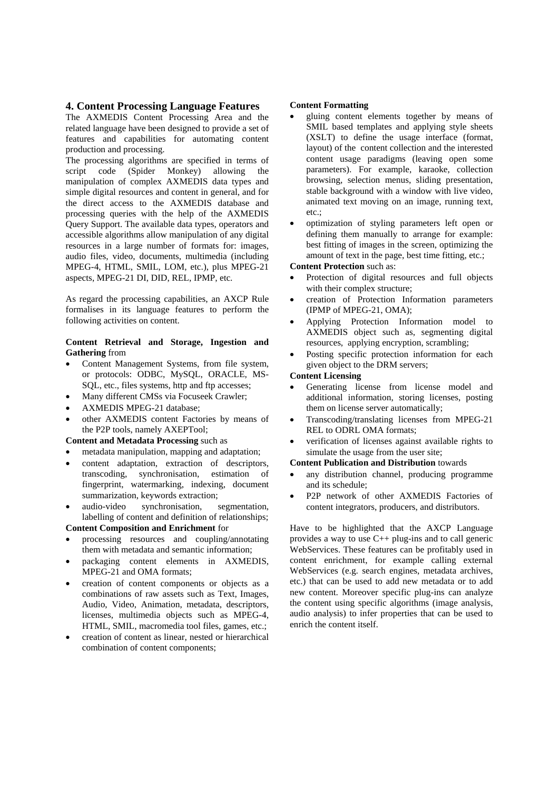# **4. Content Processing Language Features**

The AXMEDIS Content Processing Area and the related language have been designed to provide a set of features and capabilities for automating content production and processing.

The processing algorithms are specified in terms of script code (Spider Monkey) allowing the manipulation of complex AXMEDIS data types and simple digital resources and content in general, and for the direct access to the AXMEDIS database and processing queries with the help of the AXMEDIS Query Support. The available data types, operators and accessible algorithms allow manipulation of any digital resources in a large number of formats for: images, audio files, video, documents, multimedia (including MPEG-4, HTML, SMIL, LOM, etc.), plus MPEG-21 aspects, MPEG-21 DI, DID, REL, IPMP, etc.

As regard the processing capabilities, an AXCP Rule formalises in its language features to perform the following activities on content.

### **Content Retrieval and Storage, Ingestion and Gathering** from

- Content Management Systems, from file system, or protocols: ODBC, MySQL, ORACLE, MS-SQL, etc., files systems, http and ftp accesses;
- Many different CMSs via Focuseek Crawler;
- AXMEDIS MPEG-21 database;
- other AXMEDIS content Factories by means of the P2P tools, namely AXEPTool;
- **Content and Metadata Processing** such as
- metadata manipulation, mapping and adaptation;
- content adaptation, extraction of descriptors, transcoding, synchronisation, estimation of fingerprint, watermarking, indexing, document summarization, keywords extraction;
- audio-video synchronisation, segmentation, labelling of content and definition of relationships;
- **Content Composition and Enrichment** for
- processing resources and coupling/annotating them with metadata and semantic information;
- packaging content elements in AXMEDIS, MPEG-21 and OMA formats;
- creation of content components or objects as a combinations of raw assets such as Text, Images, Audio, Video, Animation, metadata, descriptors, licenses, multimedia objects such as MPEG-4, HTML, SMIL, macromedia tool files, games, etc.;
- creation of content as linear, nested or hierarchical combination of content components;

### **Content Formatting**

- gluing content elements together by means of SMIL based templates and applying style sheets (XSLT) to define the usage interface (format, layout) of the content collection and the interested content usage paradigms (leaving open some parameters). For example, karaoke, collection browsing, selection menus, sliding presentation, stable background with a window with live video, animated text moving on an image, running text, etc.;
- optimization of styling parameters left open or defining them manually to arrange for example: best fitting of images in the screen, optimizing the amount of text in the page, best time fitting, etc.;

# **Content Protection** such as:

- Protection of digital resources and full objects with their complex structure;
- creation of Protection Information parameters (IPMP of MPEG-21, OMA);
- Applying Protection Information model to AXMEDIS object such as, segmenting digital resources, applying encryption, scrambling;
- Posting specific protection information for each given object to the DRM servers;

## **Content Licensing**

- Generating license from license model and additional information, storing licenses, posting them on license server automatically;
- Transcoding/translating licenses from MPEG-21 REL to ODRL OMA formats;
- verification of licenses against available rights to simulate the usage from the user site;

#### **Content Publication and Distribution** towards

- any distribution channel, producing programme and its schedule;
- P2P network of other AXMEDIS Factories of content integrators, producers, and distributors.

Have to be highlighted that the AXCP Language provides a way to use C++ plug-ins and to call generic WebServices. These features can be profitably used in content enrichment, for example calling external WebServices (e.g. search engines, metadata archives, etc.) that can be used to add new metadata or to add new content. Moreover specific plug-ins can analyze the content using specific algorithms (image analysis, audio analysis) to infer properties that can be used to enrich the content itself.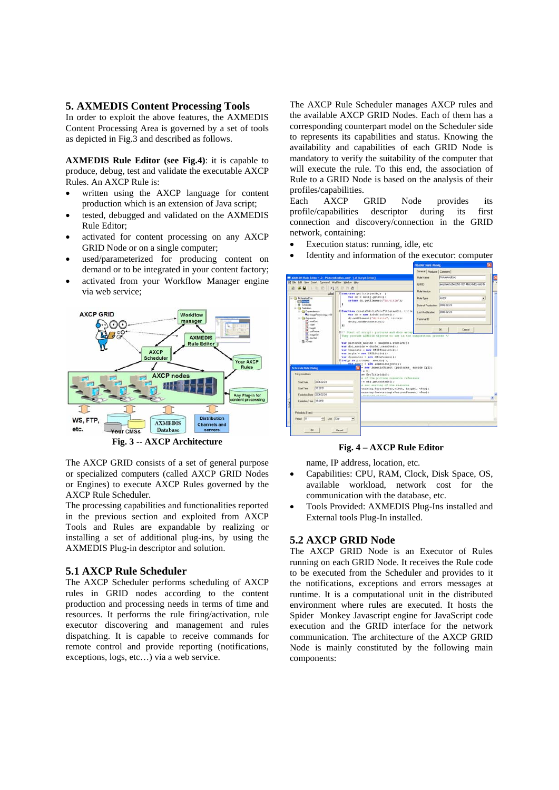# **5. AXMEDIS Content Processing Tools**

In order to exploit the above features, the AXMEDIS Content Processing Area is governed by a set of tools as depicted in Fig.3 and described as follows.

**AXMEDIS Rule Editor (see Fig.4)**: it is capable to produce, debug, test and validate the executable AXCP Rules. An AXCP Rule is:

- written using the AXCP language for content production which is an extension of Java script;
- tested, debugged and validated on the AXMEDIS Rule Editor;
- activated for content processing on any AXCP GRID Node or on a single computer;
- used/parameterized for producing content on demand or to be integrated in your content factory;
- activated from your Workflow Manager engine via web service;



The AXCP GRID consists of a set of general purpose or specialized computers (called AXCP GRID Nodes or Engines) to execute AXCP Rules governed by the AXCP Rule Scheduler.

The processing capabilities and functionalities reported in the previous section and exploited from AXCP Tools and Rules are expandable by realizing or installing a set of additional plug-ins, by using the AXMEDIS Plug-in descriptor and solution.

# **5.1 AXCP Rule Scheduler**

The AXCP Scheduler performs scheduling of AXCP rules in GRID nodes according to the content production and processing needs in terms of time and resources. It performs the rule firing/activation, rule executor discovering and management and rules dispatching. It is capable to receive commands for remote control and provide reporting (notifications, exceptions, logs, etc…) via a web service.

The AXCP Rule Scheduler manages AXCP rules and the available AXCP GRID Nodes. Each of them has a corresponding counterpart model on the Scheduler side to represents its capabilities and status. Knowing the availability and capabilities of each GRID Node is mandatory to verify the suitability of the computer that will execute the rule. To this end, the association of Rule to a GRID Node is based on the analysis of their profiles/capabilities.

Each AXCP GRID Node provides its profile/capabilities descriptor during its first connection and discovery/connection in the GRID network, containing:

- Execution status: running, idle, etc
- Identity and information of the executor: computer



#### **Fig. 4 – AXCP Rule Editor**

name, IP address, location, etc.

- Capabilities: CPU, RAM, Clock, Disk Space, OS, available workload, network cost for the communication with the database, etc.
- Tools Provided: AXMEDIS Plug-Ins installed and External tools Plug-In installed.

# **5.2 AXCP GRID Node**

The AXCP GRID Node is an Executor of Rules running on each GRID Node. It receives the Rule code to be executed from the Scheduler and provides to it the notifications, exceptions and errors messages at runtime. It is a computational unit in the distributed environment where rules are executed. It hosts the Spider Monkey Javascript engine for JavaScript code execution and the GRID interface for the network communication. The architecture of the AXCP GRID Node is mainly constituted by the following main components: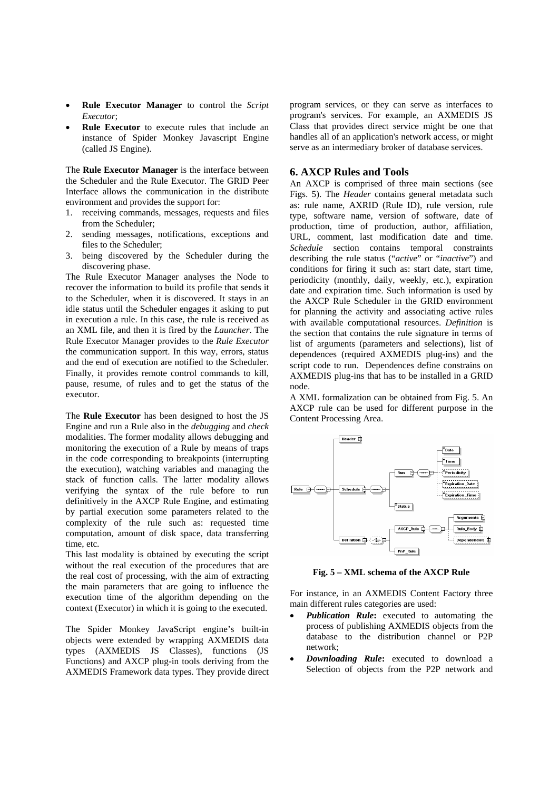- **Rule Executor Manager** to control the *Script Executor*;
- **Rule Executor** to execute rules that include an instance of Spider Monkey Javascript Engine (called JS Engine).

The **Rule Executor Manager** is the interface between the Scheduler and the Rule Executor. The GRID Peer Interface allows the communication in the distribute environment and provides the support for:

- 1. receiving commands, messages, requests and files from the Scheduler;
- 2. sending messages, notifications, exceptions and files to the Scheduler;
- 3. being discovered by the Scheduler during the discovering phase.

The Rule Executor Manager analyses the Node to recover the information to build its profile that sends it to the Scheduler, when it is discovered. It stays in an idle status until the Scheduler engages it asking to put in execution a rule. In this case, the rule is received as an XML file, and then it is fired by the *Launcher*. The Rule Executor Manager provides to the *Rule Executor* the communication support. In this way, errors, status and the end of execution are notified to the Scheduler. Finally, it provides remote control commands to kill, pause, resume, of rules and to get the status of the executor.

The **Rule Executor** has been designed to host the JS Engine and run a Rule also in the *debugging* and *check* modalities. The former modality allows debugging and monitoring the execution of a Rule by means of traps in the code corresponding to breakpoints (interrupting the execution), watching variables and managing the stack of function calls. The latter modality allows verifying the syntax of the rule before to run definitively in the AXCP Rule Engine, and estimating by partial execution some parameters related to the complexity of the rule such as: requested time computation, amount of disk space, data transferring time, etc.

This last modality is obtained by executing the script without the real execution of the procedures that are the real cost of processing, with the aim of extracting the main parameters that are going to influence the execution time of the algorithm depending on the context (Executor) in which it is going to the executed.

The Spider Monkey JavaScript engine's built-in objects were extended by wrapping AXMEDIS data types (AXMEDIS JS Classes), functions (JS Functions) and AXCP plug-in tools deriving from the AXMEDIS Framework data types. They provide direct program services, or they can serve as interfaces to program's services. For example, an AXMEDIS JS Class that provides direct service might be one that handles all of an application's network access, or might serve as an intermediary broker of database services.

# **6. AXCP Rules and Tools**

An AXCP is comprised of three main sections (see Figs. 5). The *Header* contains general metadata such as: rule name, AXRID (Rule ID), rule version, rule type, software name, version of software, date of production, time of production, author, affiliation, URL, comment, last modification date and time. *Schedule* section contains temporal constraints describing the rule status ("*active*" or "*inactive*") and conditions for firing it such as: start date, start time, periodicity (monthly, daily, weekly, etc.), expiration date and expiration time. Such information is used by the AXCP Rule Scheduler in the GRID environment for planning the activity and associating active rules with available computational resources. *Definition* is the section that contains the rule signature in terms of list of arguments (parameters and selections), list of dependences (required AXMEDIS plug-ins) and the script code to run. Dependences define constrains on AXMEDIS plug-ins that has to be installed in a GRID node.

A XML formalization can be obtained from Fig. 5. An AXCP rule can be used for different purpose in the Content Processing Area.



**Fig. 5 – XML schema of the AXCP Rule**

For instance, in an AXMEDIS Content Factory three main different rules categories are used:

- *Publication Rule*: executed to automating the process of publishing AXMEDIS objects from the database to the distribution channel or P2P network;
- *Downloading Rule***:** executed to download a Selection of objects from the P2P network and